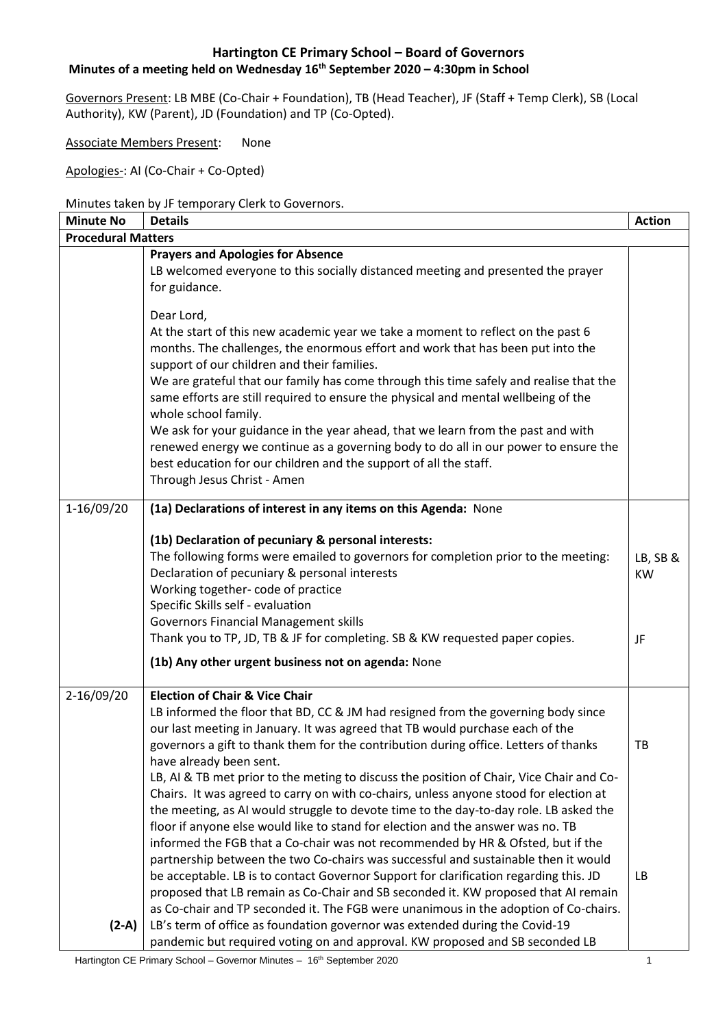# **Minutes of a meeting held on Wednesday 16th September 2020 – 4:30pm in School**

Governors Present: LB MBE (Co-Chair + Foundation), TB (Head Teacher), JF (Staff + Temp Clerk), SB (Local Authority), KW (Parent), JD (Foundation) and TP (Co-Opted).

Associate Members Present: None

Apologies-: AI (Co-Chair + Co-Opted)

#### Minutes taken by JF temporary Clerk to Governors.

| <b>Minute No</b>          | <b>Details</b>                                                                                                                                                                                                                                                                                                                                                                                                                                                                                                                                                                                                                                                                                                          | <b>Action</b>               |
|---------------------------|-------------------------------------------------------------------------------------------------------------------------------------------------------------------------------------------------------------------------------------------------------------------------------------------------------------------------------------------------------------------------------------------------------------------------------------------------------------------------------------------------------------------------------------------------------------------------------------------------------------------------------------------------------------------------------------------------------------------------|-----------------------------|
| <b>Procedural Matters</b> |                                                                                                                                                                                                                                                                                                                                                                                                                                                                                                                                                                                                                                                                                                                         |                             |
|                           | <b>Prayers and Apologies for Absence</b><br>LB welcomed everyone to this socially distanced meeting and presented the prayer<br>for guidance.                                                                                                                                                                                                                                                                                                                                                                                                                                                                                                                                                                           |                             |
|                           | Dear Lord,<br>At the start of this new academic year we take a moment to reflect on the past 6<br>months. The challenges, the enormous effort and work that has been put into the<br>support of our children and their families.<br>We are grateful that our family has come through this time safely and realise that the<br>same efforts are still required to ensure the physical and mental wellbeing of the<br>whole school family.<br>We ask for your guidance in the year ahead, that we learn from the past and with<br>renewed energy we continue as a governing body to do all in our power to ensure the<br>best education for our children and the support of all the staff.<br>Through Jesus Christ - Amen |                             |
| 1-16/09/20                | (1a) Declarations of interest in any items on this Agenda: None                                                                                                                                                                                                                                                                                                                                                                                                                                                                                                                                                                                                                                                         |                             |
|                           | (1b) Declaration of pecuniary & personal interests:<br>The following forms were emailed to governors for completion prior to the meeting:<br>Declaration of pecuniary & personal interests<br>Working together- code of practice<br>Specific Skills self - evaluation<br><b>Governors Financial Management skills</b><br>Thank you to TP, JD, TB & JF for completing. SB & KW requested paper copies.<br>(1b) Any other urgent business not on agenda: None                                                                                                                                                                                                                                                             | LB, SB &<br><b>KW</b><br>JF |
|                           |                                                                                                                                                                                                                                                                                                                                                                                                                                                                                                                                                                                                                                                                                                                         |                             |
| 2-16/09/20                | <b>Election of Chair &amp; Vice Chair</b><br>LB informed the floor that BD, CC & JM had resigned from the governing body since<br>our last meeting in January. It was agreed that TB would purchase each of the<br>governors a gift to thank them for the contribution during office. Letters of thanks<br>have already been sent.<br>LB, AI & TB met prior to the meting to discuss the position of Chair, Vice Chair and Co-<br>Chairs. It was agreed to carry on with co-chairs, unless anyone stood for election at<br>the meeting, as AI would struggle to devote time to the day-to-day role. LB asked the<br>floor if anyone else would like to stand for election and the answer was no. TB                     | TB                          |
| $(2-A)$                   | informed the FGB that a Co-chair was not recommended by HR & Ofsted, but if the<br>partnership between the two Co-chairs was successful and sustainable then it would<br>be acceptable. LB is to contact Governor Support for clarification regarding this. JD<br>proposed that LB remain as Co-Chair and SB seconded it. KW proposed that AI remain<br>as Co-chair and TP seconded it. The FGB were unanimous in the adoption of Co-chairs.<br>LB's term of office as foundation governor was extended during the Covid-19<br>pandemic but required voting on and approval. KW proposed and SB seconded LB                                                                                                             | LB.                         |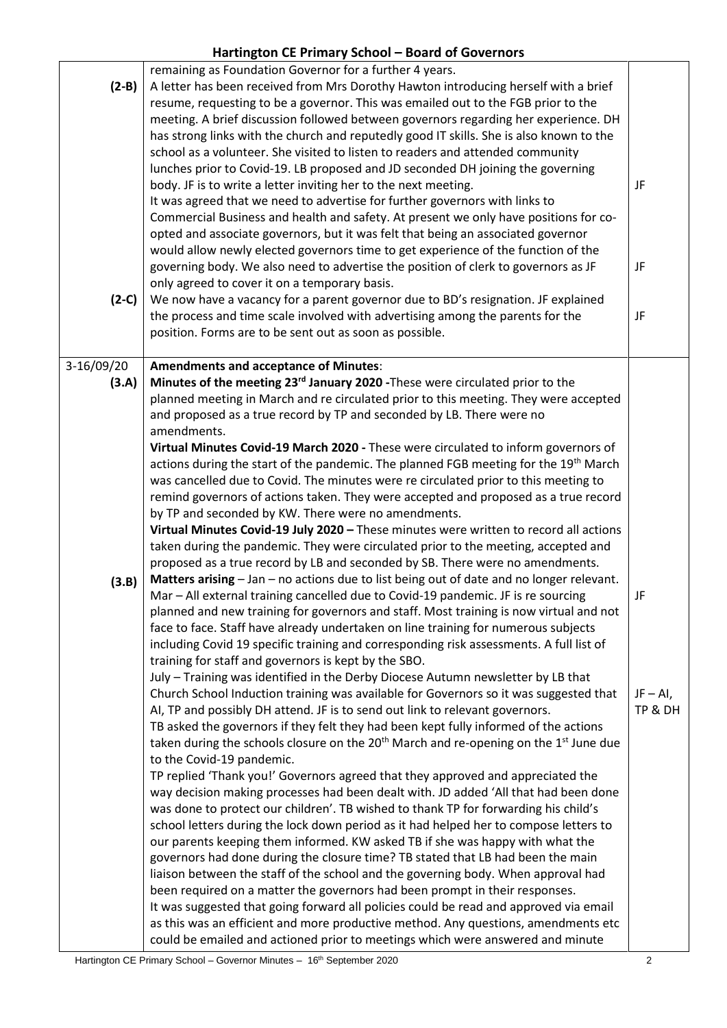| $(2-B)$    | remaining as Foundation Governor for a further 4 years.<br>A letter has been received from Mrs Dorothy Hawton introducing herself with a brief                              |             |
|------------|-----------------------------------------------------------------------------------------------------------------------------------------------------------------------------|-------------|
|            | resume, requesting to be a governor. This was emailed out to the FGB prior to the                                                                                           |             |
|            | meeting. A brief discussion followed between governors regarding her experience. DH                                                                                         |             |
|            | has strong links with the church and reputedly good IT skills. She is also known to the                                                                                     |             |
|            | school as a volunteer. She visited to listen to readers and attended community                                                                                              |             |
|            | lunches prior to Covid-19. LB proposed and JD seconded DH joining the governing                                                                                             |             |
|            | body. JF is to write a letter inviting her to the next meeting.                                                                                                             | JF          |
|            | It was agreed that we need to advertise for further governors with links to                                                                                                 |             |
|            | Commercial Business and health and safety. At present we only have positions for co-                                                                                        |             |
|            | opted and associate governors, but it was felt that being an associated governor<br>would allow newly elected governors time to get experience of the function of the       |             |
|            | governing body. We also need to advertise the position of clerk to governors as JF                                                                                          | JF          |
|            | only agreed to cover it on a temporary basis.                                                                                                                               |             |
| $(2-C)$    | We now have a vacancy for a parent governor due to BD's resignation. JF explained                                                                                           |             |
|            | the process and time scale involved with advertising among the parents for the                                                                                              | JF          |
|            | position. Forms are to be sent out as soon as possible.                                                                                                                     |             |
|            |                                                                                                                                                                             |             |
| 3-16/09/20 | <b>Amendments and acceptance of Minutes:</b>                                                                                                                                |             |
| (3.A)      | Minutes of the meeting 23 <sup>rd</sup> January 2020 - These were circulated prior to the                                                                                   |             |
|            | planned meeting in March and re circulated prior to this meeting. They were accepted                                                                                        |             |
|            | and proposed as a true record by TP and seconded by LB. There were no<br>amendments.                                                                                        |             |
|            | Virtual Minutes Covid-19 March 2020 - These were circulated to inform governors of                                                                                          |             |
|            | actions during the start of the pandemic. The planned FGB meeting for the 19 <sup>th</sup> March                                                                            |             |
|            | was cancelled due to Covid. The minutes were re circulated prior to this meeting to                                                                                         |             |
|            | remind governors of actions taken. They were accepted and proposed as a true record                                                                                         |             |
|            | by TP and seconded by KW. There were no amendments.                                                                                                                         |             |
|            | Virtual Minutes Covid-19 July 2020 - These minutes were written to record all actions                                                                                       |             |
|            | taken during the pandemic. They were circulated prior to the meeting, accepted and                                                                                          |             |
|            | proposed as a true record by LB and seconded by SB. There were no amendments.                                                                                               |             |
| (3.B)      | Matters arising - Jan - no actions due to list being out of date and no longer relevant.                                                                                    |             |
|            | Mar - All external training cancelled due to Covid-19 pandemic. JF is re sourcing<br>planned and new training for governors and staff. Most training is now virtual and not | JF          |
|            | face to face. Staff have already undertaken on line training for numerous subjects                                                                                          |             |
|            | including Covid 19 specific training and corresponding risk assessments. A full list of                                                                                     |             |
|            | training for staff and governors is kept by the SBO.                                                                                                                        |             |
|            | July - Training was identified in the Derby Diocese Autumn newsletter by LB that                                                                                            |             |
|            | Church School Induction training was available for Governors so it was suggested that                                                                                       | $JF - Al$ , |
|            | AI, TP and possibly DH attend. JF is to send out link to relevant governors.                                                                                                | TP & DH     |
|            | TB asked the governors if they felt they had been kept fully informed of the actions                                                                                        |             |
|            | taken during the schools closure on the 20 <sup>th</sup> March and re-opening on the 1 <sup>st</sup> June due                                                               |             |
|            | to the Covid-19 pandemic.                                                                                                                                                   |             |
|            | TP replied 'Thank you!' Governors agreed that they approved and appreciated the<br>way decision making processes had been dealt with. JD added 'All that had been done      |             |
|            | was done to protect our children'. TB wished to thank TP for forwarding his child's                                                                                         |             |
|            | school letters during the lock down period as it had helped her to compose letters to                                                                                       |             |
|            | our parents keeping them informed. KW asked TB if she was happy with what the                                                                                               |             |
|            | governors had done during the closure time? TB stated that LB had been the main                                                                                             |             |
|            | liaison between the staff of the school and the governing body. When approval had                                                                                           |             |
|            | been required on a matter the governors had been prompt in their responses.                                                                                                 |             |
|            | It was suggested that going forward all policies could be read and approved via email                                                                                       |             |
|            | as this was an efficient and more productive method. Any questions, amendments etc                                                                                          |             |
|            | could be emailed and actioned prior to meetings which were answered and minute                                                                                              |             |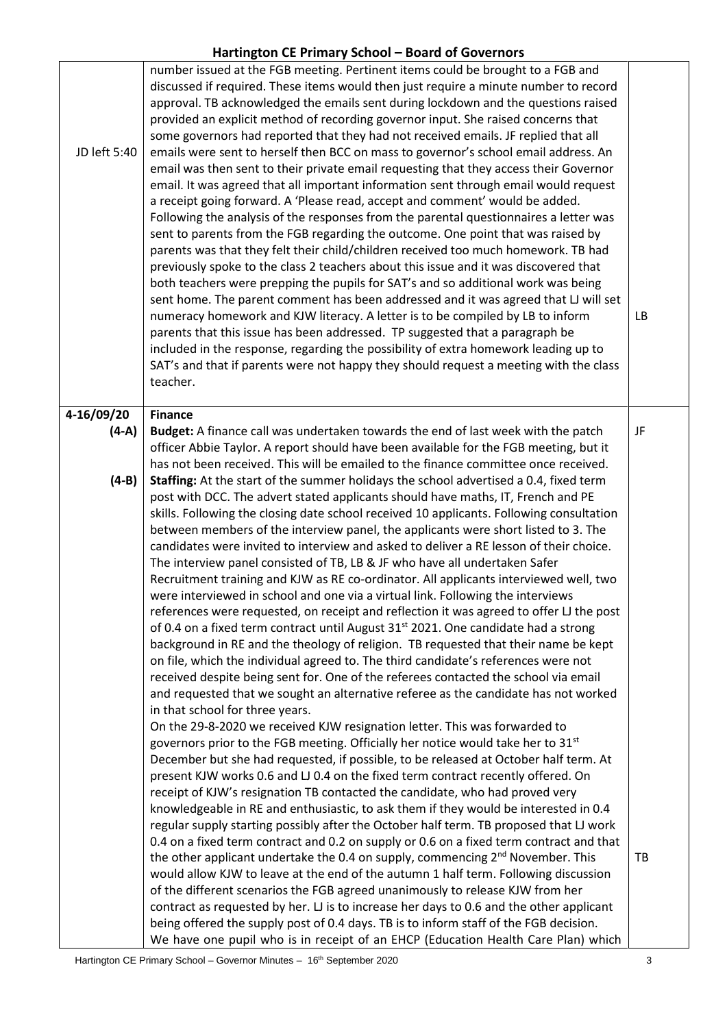| JD left 5:40 | number issued at the FGB meeting. Pertinent items could be brought to a FGB and<br>discussed if required. These items would then just require a minute number to record<br>approval. TB acknowledged the emails sent during lockdown and the questions raised<br>provided an explicit method of recording governor input. She raised concerns that<br>some governors had reported that they had not received emails. JF replied that all<br>emails were sent to herself then BCC on mass to governor's school email address. An<br>email was then sent to their private email requesting that they access their Governor<br>email. It was agreed that all important information sent through email would request<br>a receipt going forward. A 'Please read, accept and comment' would be added.<br>Following the analysis of the responses from the parental questionnaires a letter was<br>sent to parents from the FGB regarding the outcome. One point that was raised by<br>parents was that they felt their child/children received too much homework. TB had<br>previously spoke to the class 2 teachers about this issue and it was discovered that<br>both teachers were prepping the pupils for SAT's and so additional work was being<br>sent home. The parent comment has been addressed and it was agreed that LJ will set<br>numeracy homework and KJW literacy. A letter is to be compiled by LB to inform<br>parents that this issue has been addressed. TP suggested that a paragraph be<br>included in the response, regarding the possibility of extra homework leading up to<br>SAT's and that if parents were not happy they should request a meeting with the class<br>teacher. | <b>LB</b> |
|--------------|-------------------------------------------------------------------------------------------------------------------------------------------------------------------------------------------------------------------------------------------------------------------------------------------------------------------------------------------------------------------------------------------------------------------------------------------------------------------------------------------------------------------------------------------------------------------------------------------------------------------------------------------------------------------------------------------------------------------------------------------------------------------------------------------------------------------------------------------------------------------------------------------------------------------------------------------------------------------------------------------------------------------------------------------------------------------------------------------------------------------------------------------------------------------------------------------------------------------------------------------------------------------------------------------------------------------------------------------------------------------------------------------------------------------------------------------------------------------------------------------------------------------------------------------------------------------------------------------------------------------------------------------------------------------------------------------------------|-----------|
| 4-16/09/20   | <b>Finance</b>                                                                                                                                                                                                                                                                                                                                                                                                                                                                                                                                                                                                                                                                                                                                                                                                                                                                                                                                                                                                                                                                                                                                                                                                                                                                                                                                                                                                                                                                                                                                                                                                                                                                                        |           |
| $(4-A)$      | Budget: A finance call was undertaken towards the end of last week with the patch                                                                                                                                                                                                                                                                                                                                                                                                                                                                                                                                                                                                                                                                                                                                                                                                                                                                                                                                                                                                                                                                                                                                                                                                                                                                                                                                                                                                                                                                                                                                                                                                                     | JF        |
|              | officer Abbie Taylor. A report should have been available for the FGB meeting, but it<br>has not been received. This will be emailed to the finance committee once received.                                                                                                                                                                                                                                                                                                                                                                                                                                                                                                                                                                                                                                                                                                                                                                                                                                                                                                                                                                                                                                                                                                                                                                                                                                                                                                                                                                                                                                                                                                                          |           |
| $(4-B)$      | Staffing: At the start of the summer holidays the school advertised a 0.4, fixed term                                                                                                                                                                                                                                                                                                                                                                                                                                                                                                                                                                                                                                                                                                                                                                                                                                                                                                                                                                                                                                                                                                                                                                                                                                                                                                                                                                                                                                                                                                                                                                                                                 |           |
|              | post with DCC. The advert stated applicants should have maths, IT, French and PE                                                                                                                                                                                                                                                                                                                                                                                                                                                                                                                                                                                                                                                                                                                                                                                                                                                                                                                                                                                                                                                                                                                                                                                                                                                                                                                                                                                                                                                                                                                                                                                                                      |           |
|              | skills. Following the closing date school received 10 applicants. Following consultation<br>between members of the interview panel, the applicants were short listed to 3. The                                                                                                                                                                                                                                                                                                                                                                                                                                                                                                                                                                                                                                                                                                                                                                                                                                                                                                                                                                                                                                                                                                                                                                                                                                                                                                                                                                                                                                                                                                                        |           |
|              | candidates were invited to interview and asked to deliver a RE lesson of their choice.                                                                                                                                                                                                                                                                                                                                                                                                                                                                                                                                                                                                                                                                                                                                                                                                                                                                                                                                                                                                                                                                                                                                                                                                                                                                                                                                                                                                                                                                                                                                                                                                                |           |
|              | The interview panel consisted of TB, LB & JF who have all undertaken Safer                                                                                                                                                                                                                                                                                                                                                                                                                                                                                                                                                                                                                                                                                                                                                                                                                                                                                                                                                                                                                                                                                                                                                                                                                                                                                                                                                                                                                                                                                                                                                                                                                            |           |
|              | Recruitment training and KJW as RE co-ordinator. All applicants interviewed well, two<br>were interviewed in school and one via a virtual link. Following the interviews                                                                                                                                                                                                                                                                                                                                                                                                                                                                                                                                                                                                                                                                                                                                                                                                                                                                                                                                                                                                                                                                                                                                                                                                                                                                                                                                                                                                                                                                                                                              |           |
|              | references were requested, on receipt and reflection it was agreed to offer LJ the post                                                                                                                                                                                                                                                                                                                                                                                                                                                                                                                                                                                                                                                                                                                                                                                                                                                                                                                                                                                                                                                                                                                                                                                                                                                                                                                                                                                                                                                                                                                                                                                                               |           |
|              | of 0.4 on a fixed term contract until August 31 <sup>st</sup> 2021. One candidate had a strong                                                                                                                                                                                                                                                                                                                                                                                                                                                                                                                                                                                                                                                                                                                                                                                                                                                                                                                                                                                                                                                                                                                                                                                                                                                                                                                                                                                                                                                                                                                                                                                                        |           |
|              | background in RE and the theology of religion. TB requested that their name be kept                                                                                                                                                                                                                                                                                                                                                                                                                                                                                                                                                                                                                                                                                                                                                                                                                                                                                                                                                                                                                                                                                                                                                                                                                                                                                                                                                                                                                                                                                                                                                                                                                   |           |
|              | on file, which the individual agreed to. The third candidate's references were not<br>received despite being sent for. One of the referees contacted the school via email                                                                                                                                                                                                                                                                                                                                                                                                                                                                                                                                                                                                                                                                                                                                                                                                                                                                                                                                                                                                                                                                                                                                                                                                                                                                                                                                                                                                                                                                                                                             |           |
|              | and requested that we sought an alternative referee as the candidate has not worked                                                                                                                                                                                                                                                                                                                                                                                                                                                                                                                                                                                                                                                                                                                                                                                                                                                                                                                                                                                                                                                                                                                                                                                                                                                                                                                                                                                                                                                                                                                                                                                                                   |           |
|              | in that school for three years.                                                                                                                                                                                                                                                                                                                                                                                                                                                                                                                                                                                                                                                                                                                                                                                                                                                                                                                                                                                                                                                                                                                                                                                                                                                                                                                                                                                                                                                                                                                                                                                                                                                                       |           |
|              | On the 29-8-2020 we received KJW resignation letter. This was forwarded to                                                                                                                                                                                                                                                                                                                                                                                                                                                                                                                                                                                                                                                                                                                                                                                                                                                                                                                                                                                                                                                                                                                                                                                                                                                                                                                                                                                                                                                                                                                                                                                                                            |           |
|              | governors prior to the FGB meeting. Officially her notice would take her to 31 <sup>st</sup><br>December but she had requested, if possible, to be released at October half term. At                                                                                                                                                                                                                                                                                                                                                                                                                                                                                                                                                                                                                                                                                                                                                                                                                                                                                                                                                                                                                                                                                                                                                                                                                                                                                                                                                                                                                                                                                                                  |           |
|              | present KJW works 0.6 and LJ 0.4 on the fixed term contract recently offered. On                                                                                                                                                                                                                                                                                                                                                                                                                                                                                                                                                                                                                                                                                                                                                                                                                                                                                                                                                                                                                                                                                                                                                                                                                                                                                                                                                                                                                                                                                                                                                                                                                      |           |
|              | receipt of KJW's resignation TB contacted the candidate, who had proved very                                                                                                                                                                                                                                                                                                                                                                                                                                                                                                                                                                                                                                                                                                                                                                                                                                                                                                                                                                                                                                                                                                                                                                                                                                                                                                                                                                                                                                                                                                                                                                                                                          |           |
|              | knowledgeable in RE and enthusiastic, to ask them if they would be interested in 0.4                                                                                                                                                                                                                                                                                                                                                                                                                                                                                                                                                                                                                                                                                                                                                                                                                                                                                                                                                                                                                                                                                                                                                                                                                                                                                                                                                                                                                                                                                                                                                                                                                  |           |
|              | regular supply starting possibly after the October half term. TB proposed that LJ work                                                                                                                                                                                                                                                                                                                                                                                                                                                                                                                                                                                                                                                                                                                                                                                                                                                                                                                                                                                                                                                                                                                                                                                                                                                                                                                                                                                                                                                                                                                                                                                                                |           |
|              | 0.4 on a fixed term contract and 0.2 on supply or 0.6 on a fixed term contract and that<br>the other applicant undertake the 0.4 on supply, commencing 2 <sup>nd</sup> November. This                                                                                                                                                                                                                                                                                                                                                                                                                                                                                                                                                                                                                                                                                                                                                                                                                                                                                                                                                                                                                                                                                                                                                                                                                                                                                                                                                                                                                                                                                                                 | TB        |
|              | would allow KJW to leave at the end of the autumn 1 half term. Following discussion                                                                                                                                                                                                                                                                                                                                                                                                                                                                                                                                                                                                                                                                                                                                                                                                                                                                                                                                                                                                                                                                                                                                                                                                                                                                                                                                                                                                                                                                                                                                                                                                                   |           |
|              | of the different scenarios the FGB agreed unanimously to release KJW from her                                                                                                                                                                                                                                                                                                                                                                                                                                                                                                                                                                                                                                                                                                                                                                                                                                                                                                                                                                                                                                                                                                                                                                                                                                                                                                                                                                                                                                                                                                                                                                                                                         |           |
|              | contract as requested by her. LJ is to increase her days to 0.6 and the other applicant                                                                                                                                                                                                                                                                                                                                                                                                                                                                                                                                                                                                                                                                                                                                                                                                                                                                                                                                                                                                                                                                                                                                                                                                                                                                                                                                                                                                                                                                                                                                                                                                               |           |
|              | being offered the supply post of 0.4 days. TB is to inform staff of the FGB decision.                                                                                                                                                                                                                                                                                                                                                                                                                                                                                                                                                                                                                                                                                                                                                                                                                                                                                                                                                                                                                                                                                                                                                                                                                                                                                                                                                                                                                                                                                                                                                                                                                 |           |
|              | We have one pupil who is in receipt of an EHCP (Education Health Care Plan) which                                                                                                                                                                                                                                                                                                                                                                                                                                                                                                                                                                                                                                                                                                                                                                                                                                                                                                                                                                                                                                                                                                                                                                                                                                                                                                                                                                                                                                                                                                                                                                                                                     |           |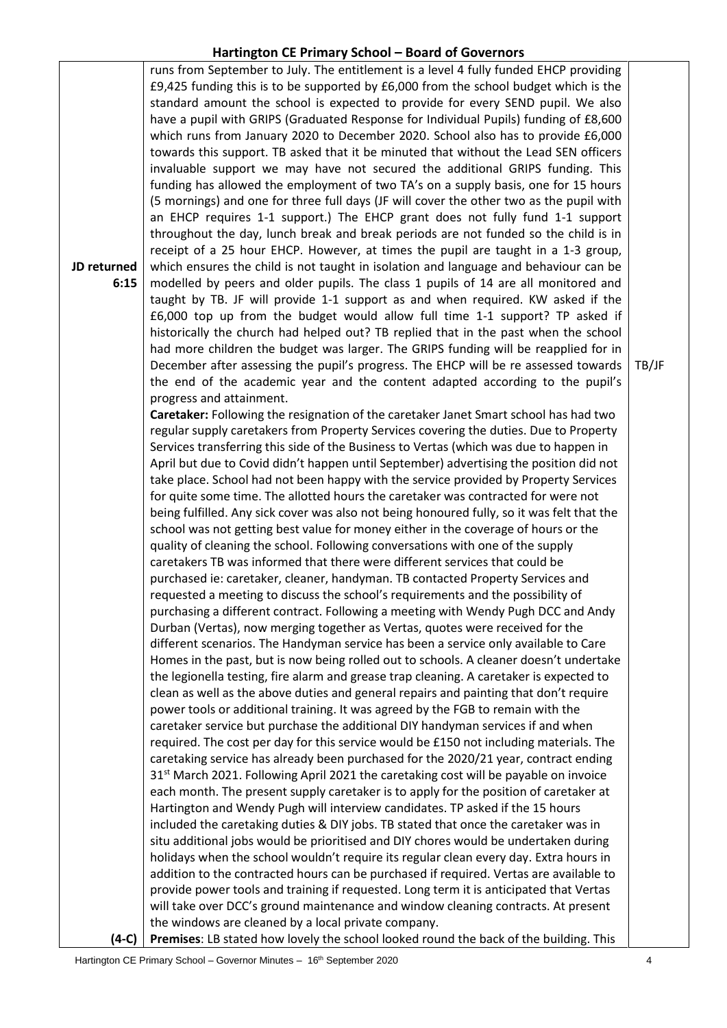**JD returned 6:15 (4-C)** runs from September to July. The entitlement is a level 4 fully funded EHCP providing £9,425 funding this is to be supported by £6,000 from the school budget which is the standard amount the school is expected to provide for every SEND pupil. We also have a pupil with GRIPS (Graduated Response for Individual Pupils) funding of £8,600 which runs from January 2020 to December 2020. School also has to provide £6,000 towards this support. TB asked that it be minuted that without the Lead SEN officers invaluable support we may have not secured the additional GRIPS funding. This funding has allowed the employment of two TA's on a supply basis, one for 15 hours (5 mornings) and one for three full days (JF will cover the other two as the pupil with an EHCP requires 1-1 support.) The EHCP grant does not fully fund 1-1 support throughout the day, lunch break and break periods are not funded so the child is in receipt of a 25 hour EHCP. However, at times the pupil are taught in a 1-3 group, which ensures the child is not taught in isolation and language and behaviour can be modelled by peers and older pupils. The class 1 pupils of 14 are all monitored and taught by TB. JF will provide 1-1 support as and when required. KW asked if the £6,000 top up from the budget would allow full time 1-1 support? TP asked if historically the church had helped out? TB replied that in the past when the school had more children the budget was larger. The GRIPS funding will be reapplied for in December after assessing the pupil's progress. The EHCP will be re assessed towards the end of the academic year and the content adapted according to the pupil's progress and attainment. **Caretaker:** Following the resignation of the caretaker Janet Smart school has had two regular supply caretakers from Property Services covering the duties. Due to Property Services transferring this side of the Business to Vertas (which was due to happen in April but due to Covid didn't happen until September) advertising the position did not take place. School had not been happy with the service provided by Property Services for quite some time. The allotted hours the caretaker was contracted for were not being fulfilled. Any sick cover was also not being honoured fully, so it was felt that the school was not getting best value for money either in the coverage of hours or the quality of cleaning the school. Following conversations with one of the supply caretakers TB was informed that there were different services that could be purchased ie: caretaker, cleaner, handyman. TB contacted Property Services and requested a meeting to discuss the school's requirements and the possibility of purchasing a different contract. Following a meeting with Wendy Pugh DCC and Andy Durban (Vertas), now merging together as Vertas, quotes were received for the different scenarios. The Handyman service has been a service only available to Care Homes in the past, but is now being rolled out to schools. A cleaner doesn't undertake the legionella testing, fire alarm and grease trap cleaning. A caretaker is expected to clean as well as the above duties and general repairs and painting that don't require power tools or additional training. It was agreed by the FGB to remain with the caretaker service but purchase the additional DIY handyman services if and when required. The cost per day for this service would be £150 not including materials. The caretaking service has already been purchased for the 2020/21 year, contract ending  $31<sup>st</sup>$  March 2021. Following April 2021 the caretaking cost will be payable on invoice each month. The present supply caretaker is to apply for the position of caretaker at Hartington and Wendy Pugh will interview candidates. TP asked if the 15 hours included the caretaking duties & DIY jobs. TB stated that once the caretaker was in situ additional jobs would be prioritised and DIY chores would be undertaken during holidays when the school wouldn't require its regular clean every day. Extra hours in addition to the contracted hours can be purchased if required. Vertas are available to provide power tools and training if requested. Long term it is anticipated that Vertas will take over DCC's ground maintenance and window cleaning contracts. At present the windows are cleaned by a local private company. TB/JF

**Premises**: LB stated how lovely the school looked round the back of the building. This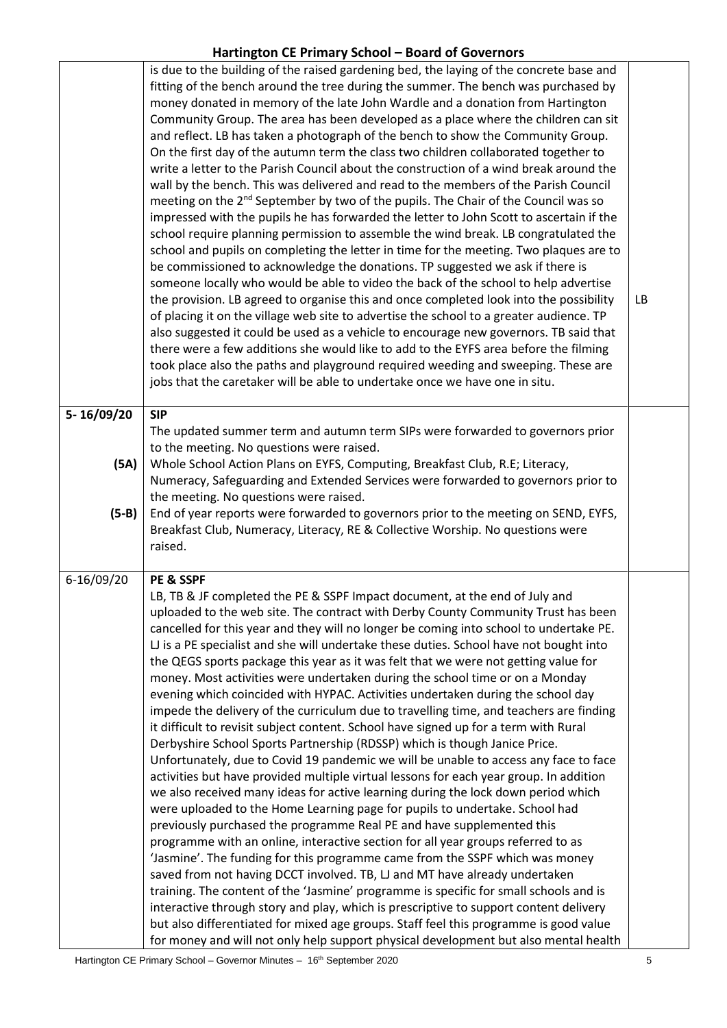|            | is due to the building of the raised gardening bed, the laying of the concrete base and<br>fitting of the bench around the tree during the summer. The bench was purchased by<br>money donated in memory of the late John Wardle and a donation from Hartington<br>Community Group. The area has been developed as a place where the children can sit<br>and reflect. LB has taken a photograph of the bench to show the Community Group.<br>On the first day of the autumn term the class two children collaborated together to<br>write a letter to the Parish Council about the construction of a wind break around the<br>wall by the bench. This was delivered and read to the members of the Parish Council<br>meeting on the 2 <sup>nd</sup> September by two of the pupils. The Chair of the Council was so<br>impressed with the pupils he has forwarded the letter to John Scott to ascertain if the<br>school require planning permission to assemble the wind break. LB congratulated the<br>school and pupils on completing the letter in time for the meeting. Two plaques are to<br>be commissioned to acknowledge the donations. TP suggested we ask if there is<br>someone locally who would be able to video the back of the school to help advertise<br>the provision. LB agreed to organise this and once completed look into the possibility<br>of placing it on the village web site to advertise the school to a greater audience. TP<br>also suggested it could be used as a vehicle to encourage new governors. TB said that<br>there were a few additions she would like to add to the EYFS area before the filming<br>took place also the paths and playground required weeding and sweeping. These are<br>jobs that the caretaker will be able to undertake once we have one in situ.                                                                                                                               | LB |
|------------|-------------------------------------------------------------------------------------------------------------------------------------------------------------------------------------------------------------------------------------------------------------------------------------------------------------------------------------------------------------------------------------------------------------------------------------------------------------------------------------------------------------------------------------------------------------------------------------------------------------------------------------------------------------------------------------------------------------------------------------------------------------------------------------------------------------------------------------------------------------------------------------------------------------------------------------------------------------------------------------------------------------------------------------------------------------------------------------------------------------------------------------------------------------------------------------------------------------------------------------------------------------------------------------------------------------------------------------------------------------------------------------------------------------------------------------------------------------------------------------------------------------------------------------------------------------------------------------------------------------------------------------------------------------------------------------------------------------------------------------------------------------------------------------------------------------------------------------------------------------------------------------------------------------------------------------------------|----|
| 5-16/09/20 | <b>SIP</b>                                                                                                                                                                                                                                                                                                                                                                                                                                                                                                                                                                                                                                                                                                                                                                                                                                                                                                                                                                                                                                                                                                                                                                                                                                                                                                                                                                                                                                                                                                                                                                                                                                                                                                                                                                                                                                                                                                                                      |    |
| (5A)       | The updated summer term and autumn term SIPs were forwarded to governors prior<br>to the meeting. No questions were raised.<br>Whole School Action Plans on EYFS, Computing, Breakfast Club, R.E; Literacy,<br>Numeracy, Safeguarding and Extended Services were forwarded to governors prior to                                                                                                                                                                                                                                                                                                                                                                                                                                                                                                                                                                                                                                                                                                                                                                                                                                                                                                                                                                                                                                                                                                                                                                                                                                                                                                                                                                                                                                                                                                                                                                                                                                                |    |
| $(5-B)$    | the meeting. No questions were raised.<br>End of year reports were forwarded to governors prior to the meeting on SEND, EYFS,<br>Breakfast Club, Numeracy, Literacy, RE & Collective Worship. No questions were<br>raised.                                                                                                                                                                                                                                                                                                                                                                                                                                                                                                                                                                                                                                                                                                                                                                                                                                                                                                                                                                                                                                                                                                                                                                                                                                                                                                                                                                                                                                                                                                                                                                                                                                                                                                                      |    |
| 6-16/09/20 | PE & SSPF<br>LB, TB & JF completed the PE & SSPF Impact document, at the end of July and<br>uploaded to the web site. The contract with Derby County Community Trust has been<br>cancelled for this year and they will no longer be coming into school to undertake PE.<br>LJ is a PE specialist and she will undertake these duties. School have not bought into<br>the QEGS sports package this year as it was felt that we were not getting value for<br>money. Most activities were undertaken during the school time or on a Monday<br>evening which coincided with HYPAC. Activities undertaken during the school day<br>impede the delivery of the curriculum due to travelling time, and teachers are finding<br>it difficult to revisit subject content. School have signed up for a term with Rural<br>Derbyshire School Sports Partnership (RDSSP) which is though Janice Price.<br>Unfortunately, due to Covid 19 pandemic we will be unable to access any face to face<br>activities but have provided multiple virtual lessons for each year group. In addition<br>we also received many ideas for active learning during the lock down period which<br>were uploaded to the Home Learning page for pupils to undertake. School had<br>previously purchased the programme Real PE and have supplemented this<br>programme with an online, interactive section for all year groups referred to as<br>'Jasmine'. The funding for this programme came from the SSPF which was money<br>saved from not having DCCT involved. TB, LJ and MT have already undertaken<br>training. The content of the 'Jasmine' programme is specific for small schools and is<br>interactive through story and play, which is prescriptive to support content delivery<br>but also differentiated for mixed age groups. Staff feel this programme is good value<br>for money and will not only help support physical development but also mental health |    |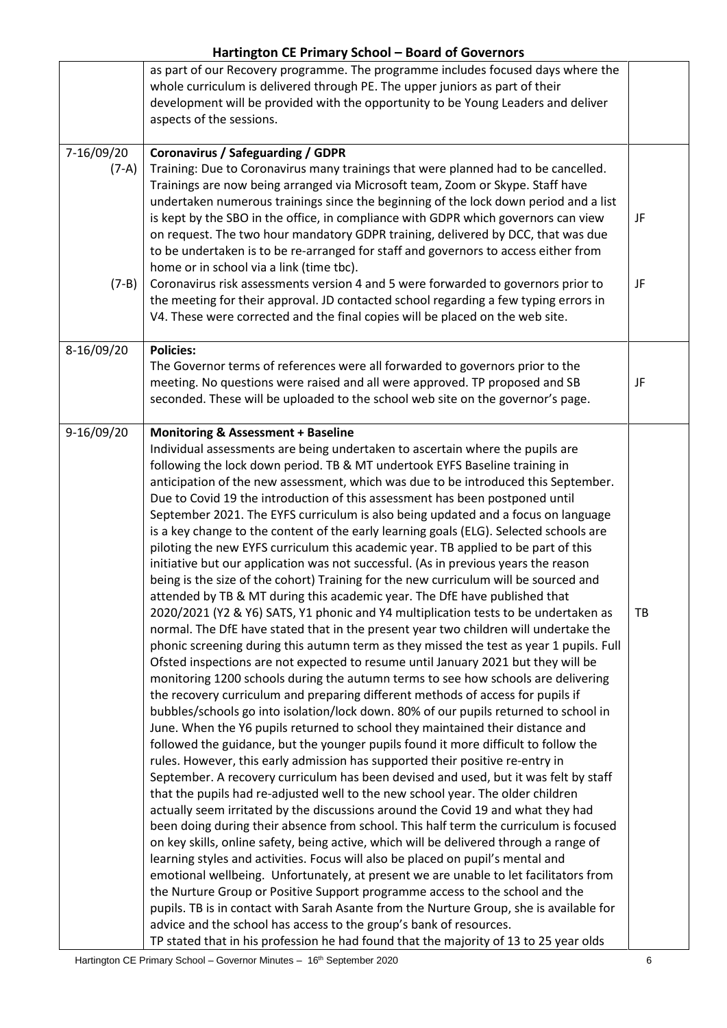|            | as part of our Recovery programme. The programme includes focused days where the<br>whole curriculum is delivered through PE. The upper juniors as part of their<br>development will be provided with the opportunity to be Young Leaders and deliver<br>aspects of the sessions. |    |
|------------|-----------------------------------------------------------------------------------------------------------------------------------------------------------------------------------------------------------------------------------------------------------------------------------|----|
| 7-16/09/20 | <b>Coronavirus / Safeguarding / GDPR</b>                                                                                                                                                                                                                                          |    |
| $(7-A)$    | Training: Due to Coronavirus many trainings that were planned had to be cancelled.                                                                                                                                                                                                |    |
|            | Trainings are now being arranged via Microsoft team, Zoom or Skype. Staff have                                                                                                                                                                                                    |    |
|            | undertaken numerous trainings since the beginning of the lock down period and a list                                                                                                                                                                                              |    |
|            | is kept by the SBO in the office, in compliance with GDPR which governors can view                                                                                                                                                                                                | JF |
|            | on request. The two hour mandatory GDPR training, delivered by DCC, that was due                                                                                                                                                                                                  |    |
|            | to be undertaken is to be re-arranged for staff and governors to access either from                                                                                                                                                                                               |    |
|            | home or in school via a link (time tbc).                                                                                                                                                                                                                                          |    |
| $(7-B)$    | Coronavirus risk assessments version 4 and 5 were forwarded to governors prior to                                                                                                                                                                                                 | JF |
|            | the meeting for their approval. JD contacted school regarding a few typing errors in                                                                                                                                                                                              |    |
|            | V4. These were corrected and the final copies will be placed on the web site.                                                                                                                                                                                                     |    |
|            |                                                                                                                                                                                                                                                                                   |    |
| 8-16/09/20 | <b>Policies:</b>                                                                                                                                                                                                                                                                  |    |
|            | The Governor terms of references were all forwarded to governors prior to the                                                                                                                                                                                                     |    |
|            | meeting. No questions were raised and all were approved. TP proposed and SB                                                                                                                                                                                                       | JF |
|            | seconded. These will be uploaded to the school web site on the governor's page.                                                                                                                                                                                                   |    |
|            |                                                                                                                                                                                                                                                                                   |    |
| 9-16/09/20 | <b>Monitoring &amp; Assessment + Baseline</b>                                                                                                                                                                                                                                     |    |
|            | Individual assessments are being undertaken to ascertain where the pupils are                                                                                                                                                                                                     |    |
|            | following the lock down period. TB & MT undertook EYFS Baseline training in                                                                                                                                                                                                       |    |
|            | anticipation of the new assessment, which was due to be introduced this September.                                                                                                                                                                                                |    |
|            | Due to Covid 19 the introduction of this assessment has been postponed until                                                                                                                                                                                                      |    |
|            | September 2021. The EYFS curriculum is also being updated and a focus on language                                                                                                                                                                                                 |    |
|            | is a key change to the content of the early learning goals (ELG). Selected schools are                                                                                                                                                                                            |    |
|            | piloting the new EYFS curriculum this academic year. TB applied to be part of this                                                                                                                                                                                                |    |
|            | initiative but our application was not successful. (As in previous years the reason                                                                                                                                                                                               |    |
|            | being is the size of the cohort) Training for the new curriculum will be sourced and                                                                                                                                                                                              |    |
|            | attended by TB & MT during this academic year. The DfE have published that                                                                                                                                                                                                        |    |
|            | 2020/2021 (Y2 & Y6) SATS, Y1 phonic and Y4 multiplication tests to be undertaken as                                                                                                                                                                                               | TB |
|            | normal. The DfE have stated that in the present year two children will undertake the                                                                                                                                                                                              |    |
|            | phonic screening during this autumn term as they missed the test as year 1 pupils. Full                                                                                                                                                                                           |    |
|            | Ofsted inspections are not expected to resume until January 2021 but they will be                                                                                                                                                                                                 |    |
|            | monitoring 1200 schools during the autumn terms to see how schools are delivering                                                                                                                                                                                                 |    |
|            | the recovery curriculum and preparing different methods of access for pupils if                                                                                                                                                                                                   |    |
|            | bubbles/schools go into isolation/lock down. 80% of our pupils returned to school in                                                                                                                                                                                              |    |
|            | June. When the Y6 pupils returned to school they maintained their distance and                                                                                                                                                                                                    |    |
|            | followed the guidance, but the younger pupils found it more difficult to follow the                                                                                                                                                                                               |    |
|            | rules. However, this early admission has supported their positive re-entry in                                                                                                                                                                                                     |    |
|            | September. A recovery curriculum has been devised and used, but it was felt by staff                                                                                                                                                                                              |    |
|            | that the pupils had re-adjusted well to the new school year. The older children                                                                                                                                                                                                   |    |
|            | actually seem irritated by the discussions around the Covid 19 and what they had                                                                                                                                                                                                  |    |
|            | been doing during their absence from school. This half term the curriculum is focused                                                                                                                                                                                             |    |
|            | on key skills, online safety, being active, which will be delivered through a range of                                                                                                                                                                                            |    |
|            | learning styles and activities. Focus will also be placed on pupil's mental and                                                                                                                                                                                                   |    |
|            | emotional wellbeing. Unfortunately, at present we are unable to let facilitators from                                                                                                                                                                                             |    |
|            | the Nurture Group or Positive Support programme access to the school and the                                                                                                                                                                                                      |    |
|            | pupils. TB is in contact with Sarah Asante from the Nurture Group, she is available for                                                                                                                                                                                           |    |
|            | advice and the school has access to the group's bank of resources.                                                                                                                                                                                                                |    |
|            | TP stated that in his profession he had found that the majority of 13 to 25 year olds                                                                                                                                                                                             |    |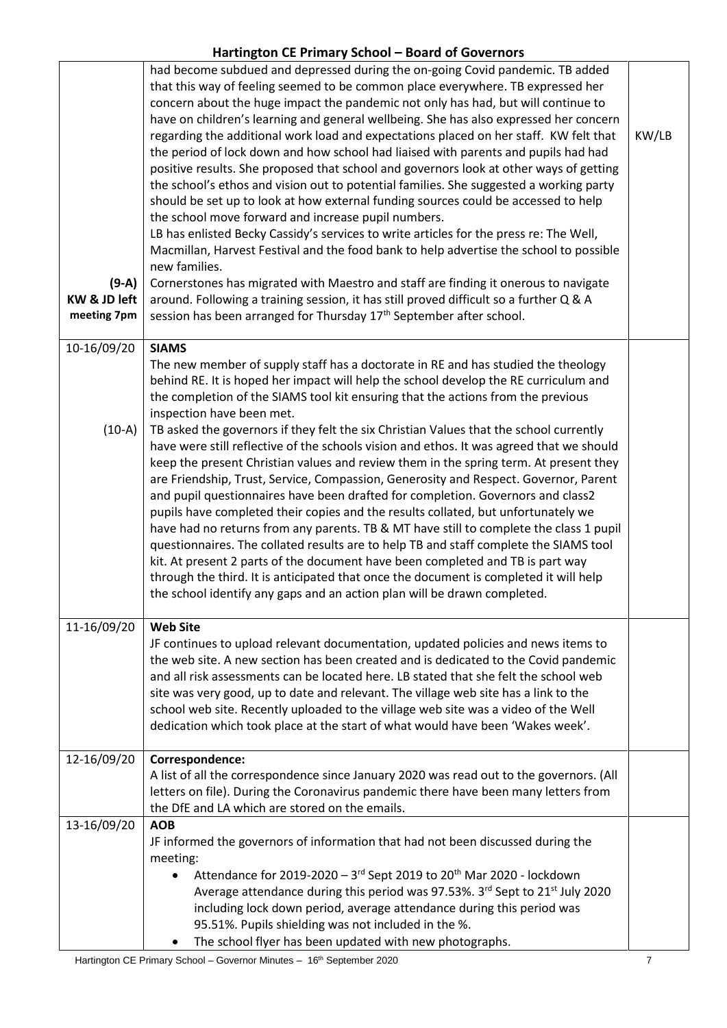| $(9-A)$<br>KW & JD left<br>meeting 7pm | had become subdued and depressed during the on-going Covid pandemic. TB added<br>that this way of feeling seemed to be common place everywhere. TB expressed her<br>concern about the huge impact the pandemic not only has had, but will continue to<br>have on children's learning and general wellbeing. She has also expressed her concern<br>regarding the additional work load and expectations placed on her staff. KW felt that<br>the period of lock down and how school had liaised with parents and pupils had had<br>positive results. She proposed that school and governors look at other ways of getting<br>the school's ethos and vision out to potential families. She suggested a working party<br>should be set up to look at how external funding sources could be accessed to help<br>the school move forward and increase pupil numbers.<br>LB has enlisted Becky Cassidy's services to write articles for the press re: The Well,<br>Macmillan, Harvest Festival and the food bank to help advertise the school to possible<br>new families.<br>Cornerstones has migrated with Maestro and staff are finding it onerous to navigate<br>around. Following a training session, it has still proved difficult so a further Q & A<br>session has been arranged for Thursday 17 <sup>th</sup> September after school. | KW/LB |
|----------------------------------------|-----------------------------------------------------------------------------------------------------------------------------------------------------------------------------------------------------------------------------------------------------------------------------------------------------------------------------------------------------------------------------------------------------------------------------------------------------------------------------------------------------------------------------------------------------------------------------------------------------------------------------------------------------------------------------------------------------------------------------------------------------------------------------------------------------------------------------------------------------------------------------------------------------------------------------------------------------------------------------------------------------------------------------------------------------------------------------------------------------------------------------------------------------------------------------------------------------------------------------------------------------------------------------------------------------------------------------------------|-------|
| 10-16/09/20                            | <b>SIAMS</b>                                                                                                                                                                                                                                                                                                                                                                                                                                                                                                                                                                                                                                                                                                                                                                                                                                                                                                                                                                                                                                                                                                                                                                                                                                                                                                                            |       |
| $(10-A)$<br>11-16/09/20                | The new member of supply staff has a doctorate in RE and has studied the theology<br>behind RE. It is hoped her impact will help the school develop the RE curriculum and<br>the completion of the SIAMS tool kit ensuring that the actions from the previous<br>inspection have been met.<br>TB asked the governors if they felt the six Christian Values that the school currently<br>have were still reflective of the schools vision and ethos. It was agreed that we should<br>keep the present Christian values and review them in the spring term. At present they<br>are Friendship, Trust, Service, Compassion, Generosity and Respect. Governor, Parent<br>and pupil questionnaires have been drafted for completion. Governors and class2<br>pupils have completed their copies and the results collated, but unfortunately we<br>have had no returns from any parents. TB & MT have still to complete the class 1 pupil<br>questionnaires. The collated results are to help TB and staff complete the SIAMS tool<br>kit. At present 2 parts of the document have been completed and TB is part way<br>through the third. It is anticipated that once the document is completed it will help<br>the school identify any gaps and an action plan will be drawn completed.<br><b>Web Site</b>                                  |       |
|                                        | JF continues to upload relevant documentation, updated policies and news items to                                                                                                                                                                                                                                                                                                                                                                                                                                                                                                                                                                                                                                                                                                                                                                                                                                                                                                                                                                                                                                                                                                                                                                                                                                                       |       |
|                                        | the web site. A new section has been created and is dedicated to the Covid pandemic<br>and all risk assessments can be located here. LB stated that she felt the school web<br>site was very good, up to date and relevant. The village web site has a link to the<br>school web site. Recently uploaded to the village web site was a video of the Well<br>dedication which took place at the start of what would have been 'Wakes week'.                                                                                                                                                                                                                                                                                                                                                                                                                                                                                                                                                                                                                                                                                                                                                                                                                                                                                              |       |
| 12-16/09/20                            | Correspondence:<br>A list of all the correspondence since January 2020 was read out to the governors. (All                                                                                                                                                                                                                                                                                                                                                                                                                                                                                                                                                                                                                                                                                                                                                                                                                                                                                                                                                                                                                                                                                                                                                                                                                              |       |
|                                        | letters on file). During the Coronavirus pandemic there have been many letters from<br>the DfE and LA which are stored on the emails.                                                                                                                                                                                                                                                                                                                                                                                                                                                                                                                                                                                                                                                                                                                                                                                                                                                                                                                                                                                                                                                                                                                                                                                                   |       |
| 13-16/09/20                            | <b>AOB</b><br>JF informed the governors of information that had not been discussed during the<br>meeting:<br>Attendance for 2019-2020 - 3rd Sept 2019 to 20 <sup>th</sup> Mar 2020 - lockdown<br>Average attendance during this period was 97.53%. 3rd Sept to 21 <sup>st</sup> July 2020<br>including lock down period, average attendance during this period was<br>95.51%. Pupils shielding was not included in the %.<br>The school flyer has been updated with new photographs.                                                                                                                                                                                                                                                                                                                                                                                                                                                                                                                                                                                                                                                                                                                                                                                                                                                    |       |